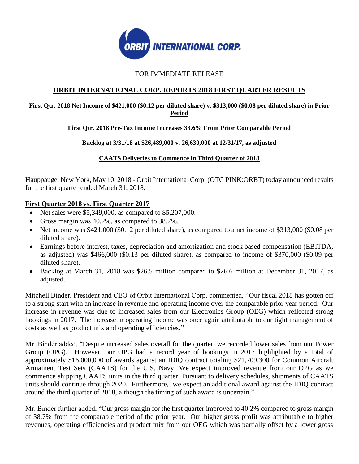

# FOR IMMEDIATE RELEASE

# **ORBIT INTERNATIONAL CORP. REPORTS 2018 FIRST QUARTER RESULTS**

## **First Qtr. 2018 Net Income of \$421,000 (\$0.12 per diluted share) v. \$313,000 (\$0.08 per diluted share) in Prior Period**

## **First Qtr. 2018 Pre-Tax Income Increases 33.6% From Prior Comparable Period**

## **Backlog at 3/31/18 at \$26,489,000 v. 26,630,000 at 12/31/17, as adjusted**

## **CAATS Deliveries to Commence in Third Quarter of 2018**

Hauppauge, New York, May 10, 2018 - Orbit International Corp. (OTC PINK:ORBT) today announced results for the first quarter ended March 31, 2018.

## **First Quarter 2018 vs. First Quarter 2017**

- Net sales were  $$5,349,000$ , as compared to  $$5,207,000$ .
- Gross margin was 40.2%, as compared to 38.7%.
- Net income was \$421,000 (\$0.12 per diluted share), as compared to a net income of \$313,000 (\$0.08 per diluted share).
- Earnings before interest, taxes, depreciation and amortization and stock based compensation (EBITDA, as adjusted) was \$466,000 (\$0.13 per diluted share), as compared to income of \$370,000 (\$0.09 per diluted share).
- Backlog at March 31, 2018 was \$26.5 million compared to \$26.6 million at December 31, 2017, as adjusted.

Mitchell Binder, President and CEO of Orbit International Corp. commented, "Our fiscal 2018 has gotten off to a strong start with an increase in revenue and operating income over the comparable prior year period. Our increase in revenue was due to increased sales from our Electronics Group (OEG) which reflected strong bookings in 2017. The increase in operating income was once again attributable to our tight management of costs as well as product mix and operating efficiencies."

Mr. Binder added, "Despite increased sales overall for the quarter, we recorded lower sales from our Power Group (OPG). However, our OPG had a record year of bookings in 2017 highlighted by a total of approximately \$16,000,000 of awards against an IDIQ contract totaling \$21,709,300 for Common Aircraft Armament Test Sets (CAATS) for the U.S. Navy. We expect improved revenue from our OPG as we commence shipping CAATS units in the third quarter. Pursuant to delivery schedules, shipments of CAATS units should continue through 2020. Furthermore, we expect an additional award against the IDIQ contract around the third quarter of 2018, although the timing of such award is uncertain."

Mr. Binder further added, "Our gross margin for the first quarter improved to 40.2% compared to gross margin of 38.7% from the comparable period of the prior year. Our higher gross profit was attributable to higher revenues, operating efficiencies and product mix from our OEG which was partially offset by a lower gross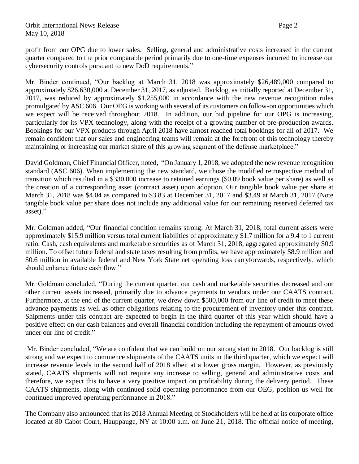## Orbit International News Release Page 2 May 10, 2018

profit from our OPG due to lower sales. Selling, general and administrative costs increased in the current quarter compared to the prior comparable period primarily due to one-time expenses incurred to increase our cybersecurity controls pursuant to new DoD requirements."

Mr. Binder continued, "Our backlog at March 31, 2018 was approximately \$26,489,000 compared to approximately \$26,630,000 at December 31, 2017, as adjusted. Backlog, as initially reported at December 31, 2017, was reduced by approximately \$1,255,000 in accordance with the new revenue recognition rules promulgated by ASC 606. Our OEG is working with several of its customers on follow-on opportunities which we expect will be received throughout 2018. In addition, our bid pipeline for our OPG is increasing, particularly for its VPX technology, along with the receipt of a growing number of pre-production awards. Bookings for our VPX products through April 2018 have almost reached total bookings for all of 2017. We remain confident that our sales and engineering teams will remain at the forefront of this technology thereby maintaining or increasing our market share of this growing segment of the defense marketplace."

David Goldman, Chief Financial Officer, noted, "On January 1, 2018, we adopted the new revenue recognition standard (ASC 606). When implementing the new standard, we chose the modified retrospective method of transition which resulted in a \$330,000 increase to retained earnings (\$0.09 book value per share) as well as the creation of a corresponding asset (contract asset) upon adoption. Our tangible book value per share at March 31, 2018 was \$4.04 as compared to \$3.83 at December 31, 2017 and \$3.49 at March 31, 2017 (Note tangible book value per share does not include any additional value for our remaining reserved deferred tax asset)."

Mr. Goldman added, "Our financial condition remains strong. At March 31, 2018, total current assets were approximately \$15.9 million versus total current liabilities of approximately \$1.7 million for a 9.4 to 1 current ratio. Cash, cash equivalents and marketable securities as of March 31, 2018, aggregated approximately \$0.9 million. To offset future federal and state taxes resulting from profits, we have approximately \$8.9 million and \$0.6 million in available federal and New York State net operating loss carryforwards, respectively, which should enhance future cash flow."

Mr. Goldman concluded, "During the current quarter, our cash and marketable securities decreased and our other current assets increased, primarily due to advance payments to vendors under our CAATS contract. Furthermore, at the end of the current quarter, we drew down \$500,000 from our line of credit to meet these advance payments as well as other obligations relating to the procurement of inventory under this contract. Shipments under this contract are expected to begin in the third quarter of this year which should have a positive effect on our cash balances and overall financial condition including the repayment of amounts owed under our line of credit."

Mr. Binder concluded, "We are confident that we can build on our strong start to 2018. Our backlog is still strong and we expect to commence shipments of the CAATS units in the third quarter, which we expect will increase revenue levels in the second half of 2018 albeit at a lower gross margin. However, as previously stated, CAATS shipments will not require any increase to selling, general and administrative costs and therefore, we expect this to have a very positive impact on profitability during the delivery period. These CAATS shipments, along with continued solid operating performance from our OEG, position us well for continued improved operating performance in 2018."

The Company also announced that its 2018 Annual Meeting of Stockholders will be held at its corporate office located at 80 Cabot Court, Hauppauge, NY at 10:00 a.m. on June 21, 2018. The official notice of meeting,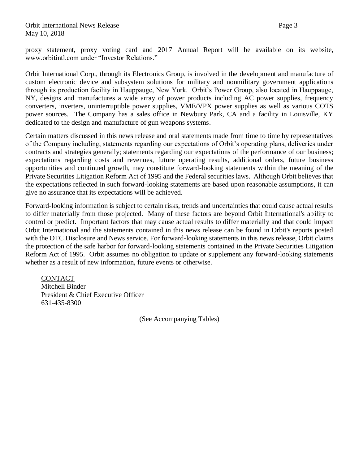proxy statement, proxy voting card and 2017 Annual Report will be available on its website, www.orbitintl.com under "Investor Relations."

Orbit International Corp., through its Electronics Group, is involved in the development and manufacture of custom electronic device and subsystem solutions for military and nonmilitary government applications through its production facility in Hauppauge, New York. Orbit's Power Group, also located in Hauppauge, NY, designs and manufactures a wide array of power products including AC power supplies, frequency converters, inverters, uninterruptible power supplies, VME/VPX power supplies as well as various COTS power sources. The Company has a sales office in Newbury Park, CA and a facility in Louisville, KY dedicated to the design and manufacture of gun weapons systems.

Certain matters discussed in this news release and oral statements made from time to time by representatives of the Company including, statements regarding our expectations of Orbit's operating plans, deliveries under contracts and strategies generally; statements regarding our expectations of the performance of our business; expectations regarding costs and revenues, future operating results, additional orders, future business opportunities and continued growth, may constitute forward-looking statements within the meaning of the Private Securities Litigation Reform Act of 1995 and the Federal securities laws. Although Orbit believes that the expectations reflected in such forward-looking statements are based upon reasonable assumptions, it can give no assurance that its expectations will be achieved.

Forward-looking information is subject to certain risks, trends and uncertainties that could cause actual results to differ materially from those projected. Many of these factors are beyond Orbit International's ability to control or predict. Important factors that may cause actual results to differ materially and that could impact Orbit International and the statements contained in this news release can be found in Orbit's reports posted with the OTC Disclosure and News service. For forward-looking statements in this news release, Orbit claims the protection of the safe harbor for forward-looking statements contained in the Private Securities Litigation Reform Act of 1995. Orbit assumes no obligation to update or supplement any forward-looking statements whether as a result of new information, future events or otherwise.

**CONTACT** Mitchell Binder President & Chief Executive Officer 631-435-8300

(See Accompanying Tables)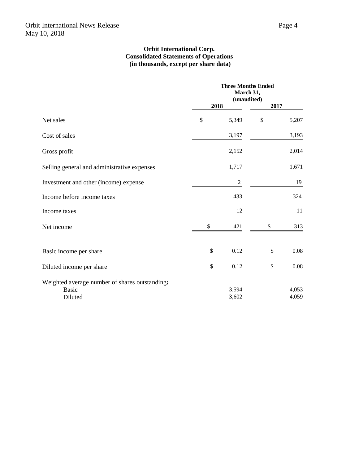### **Orbit International Corp. Consolidated Statements of Operations (in thousands, except per share data)**

|                                                                           |               | <b>Three Months Ended</b><br>March 31,<br>(unaudited) |      |                |
|---------------------------------------------------------------------------|---------------|-------------------------------------------------------|------|----------------|
|                                                                           | 2018          |                                                       | 2017 |                |
| Net sales                                                                 | $\mathcal{S}$ | 5,349                                                 | \$   | 5,207          |
| Cost of sales                                                             |               | 3,197                                                 |      | 3,193          |
| Gross profit                                                              |               | 2,152                                                 |      | 2,014          |
| Selling general and administrative expenses                               |               | 1,717                                                 |      | 1,671          |
| Investment and other (income) expense                                     |               | $\sqrt{2}$                                            |      | 19             |
| Income before income taxes                                                |               | 433                                                   |      | 324            |
| Income taxes                                                              |               | 12                                                    |      | 11             |
| Net income                                                                | \$            | 421                                                   | \$   | 313            |
| Basic income per share                                                    | \$            | 0.12                                                  | \$   | $0.08\,$       |
| Diluted income per share                                                  | \$            | 0.12                                                  | \$   | 0.08           |
| Weighted average number of shares outstanding:<br><b>Basic</b><br>Diluted |               | 3,594<br>3,602                                        |      | 4,053<br>4,059 |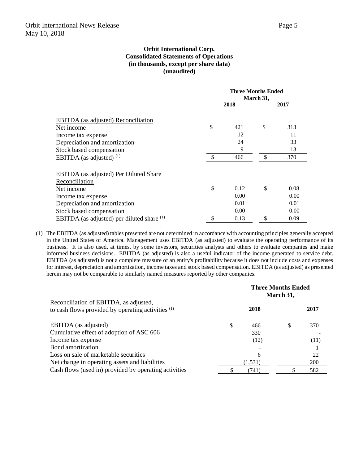### **Orbit International Corp. Consolidated Statements of Operations (in thousands, except per share data) (unaudited)**

|                                               |    | <b>Three Months Ended</b> |    |      |  |
|-----------------------------------------------|----|---------------------------|----|------|--|
|                                               |    | March 31,                 |    |      |  |
|                                               |    | 2018                      |    | 2017 |  |
|                                               |    |                           |    |      |  |
| <b>EBITDA</b> (as adjusted) Reconciliation    |    |                           |    |      |  |
| Net income                                    | \$ | 421                       | \$ | 313  |  |
| Income tax expense                            |    | 12                        |    | 11   |  |
| Depreciation and amortization                 |    | 24                        |    | 33   |  |
| Stock based compensation                      |    | 9                         |    | 13   |  |
| EBITDA (as adjusted) $(1)$                    | £. | 466                       | -S | 370  |  |
|                                               |    |                           |    |      |  |
| <b>EBITDA</b> (as adjusted) Per Diluted Share |    |                           |    |      |  |
| Reconciliation                                |    |                           |    |      |  |
| Net income                                    | \$ | 0.12                      | \$ | 0.08 |  |
| Income tax expense                            |    | 0.00                      |    | 0.00 |  |
| Depreciation and amortization                 |    | 0.01                      |    | 0.01 |  |
| Stock based compensation                      |    | 0.00                      |    | 0.00 |  |
| EBITDA (as adjusted) per diluted share $(1)$  | \$ | 0.13                      | \$ | 0.09 |  |

(1) The EBITDA (as adjusted) tables presented are not determined in accordance with accounting principles generally accepted in the United States of America. Management uses EBITDA (as adjusted) to evaluate the operating performance of its business. It is also used, at times, by some investors, securities analysts and others to evaluate companies and make informed business decisions. EBITDA (as adjusted) is also a useful indicator of the income generated to service debt. EBITDA (as adjusted) is not a complete measure of an entity's profitability because it does not include costs and expenses for interest, depreciation and amortization, income taxes and stock based compensation. EBITDA (as adjusted) as presented herein may not be comparable to similarly named measures reported by other companies.

|                                                                                              | <b>Three Months Ended</b><br>March 31, |         |    |      |
|----------------------------------------------------------------------------------------------|----------------------------------------|---------|----|------|
| Reconciliation of EBITDA, as adjusted,<br>to cash flows provided by operating activities (1) |                                        | 2018    |    | 2017 |
| EBITDA (as adjusted)                                                                         | S                                      | 466     | \$ | 370  |
| Cumulative effect of adoption of ASC 606                                                     |                                        | 330     |    |      |
| Income tax expense                                                                           |                                        | (12)    |    | (11) |
| Bond amortization                                                                            |                                        |         |    |      |
| Loss on sale of marketable securities                                                        |                                        | 6       |    | 22   |
| Net change in operating assets and liabilities                                               |                                        | (1,531) |    | 200  |
| Cash flows (used in) provided by operating activities                                        |                                        | (741)   |    | 582  |